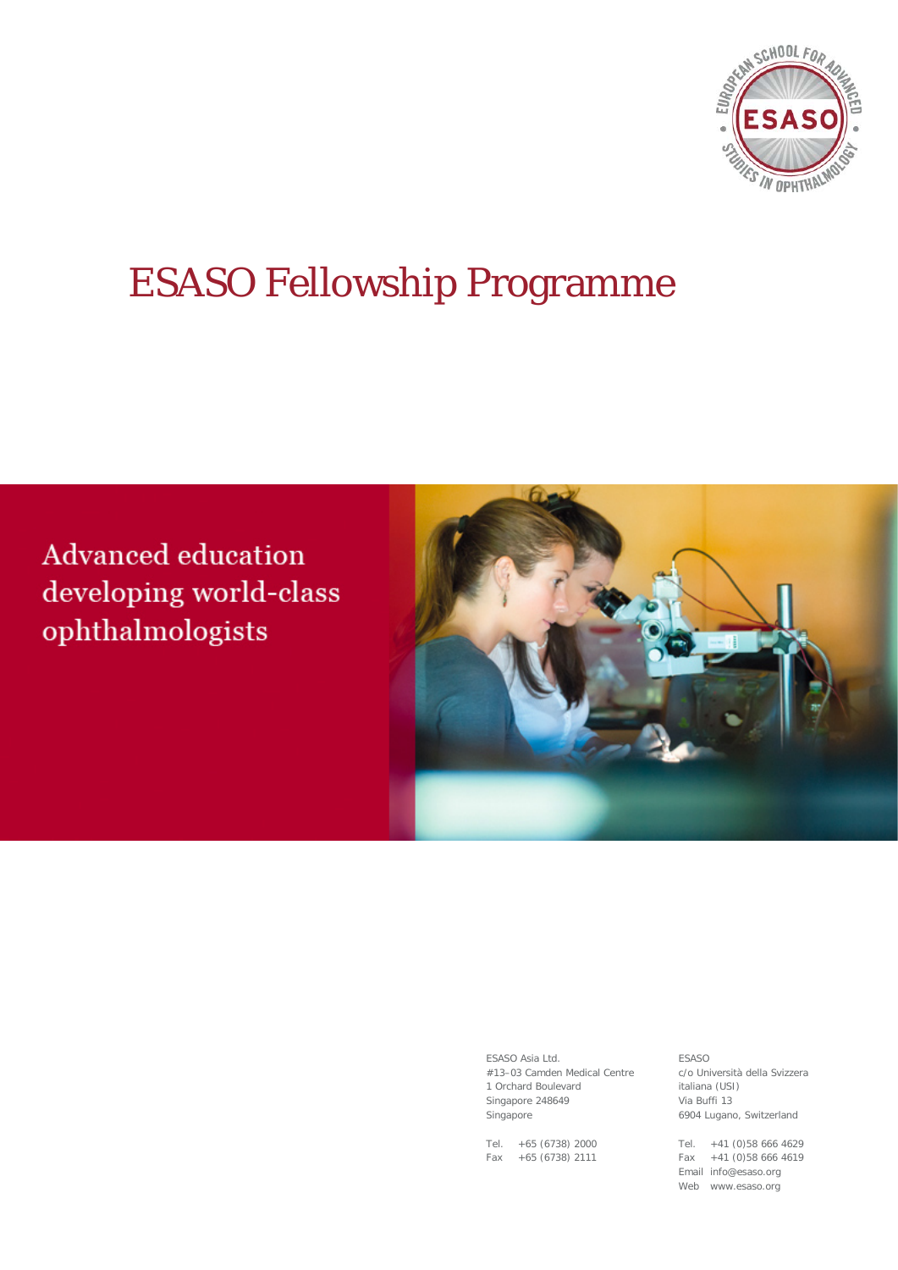

# ESASO Fellowship Programme

**Advanced education** developing world-class ophthalmologists



ESASO Asia Ltd. #13–03 Camden Medical Centre 1 Orchard Boulevard Singapore 248649 Singapore

Tel. +65 (6738) 2000 Fax +65 (6738) 2111

ESASO c/o Università della Svizzera italiana (USI) Via Buffi 13 6904 Lugano, Switzerland

Tel. +41 (0)58 666 4629 Fax +41 (0)58 666 4619 Email info@esaso.org Web www.esaso.org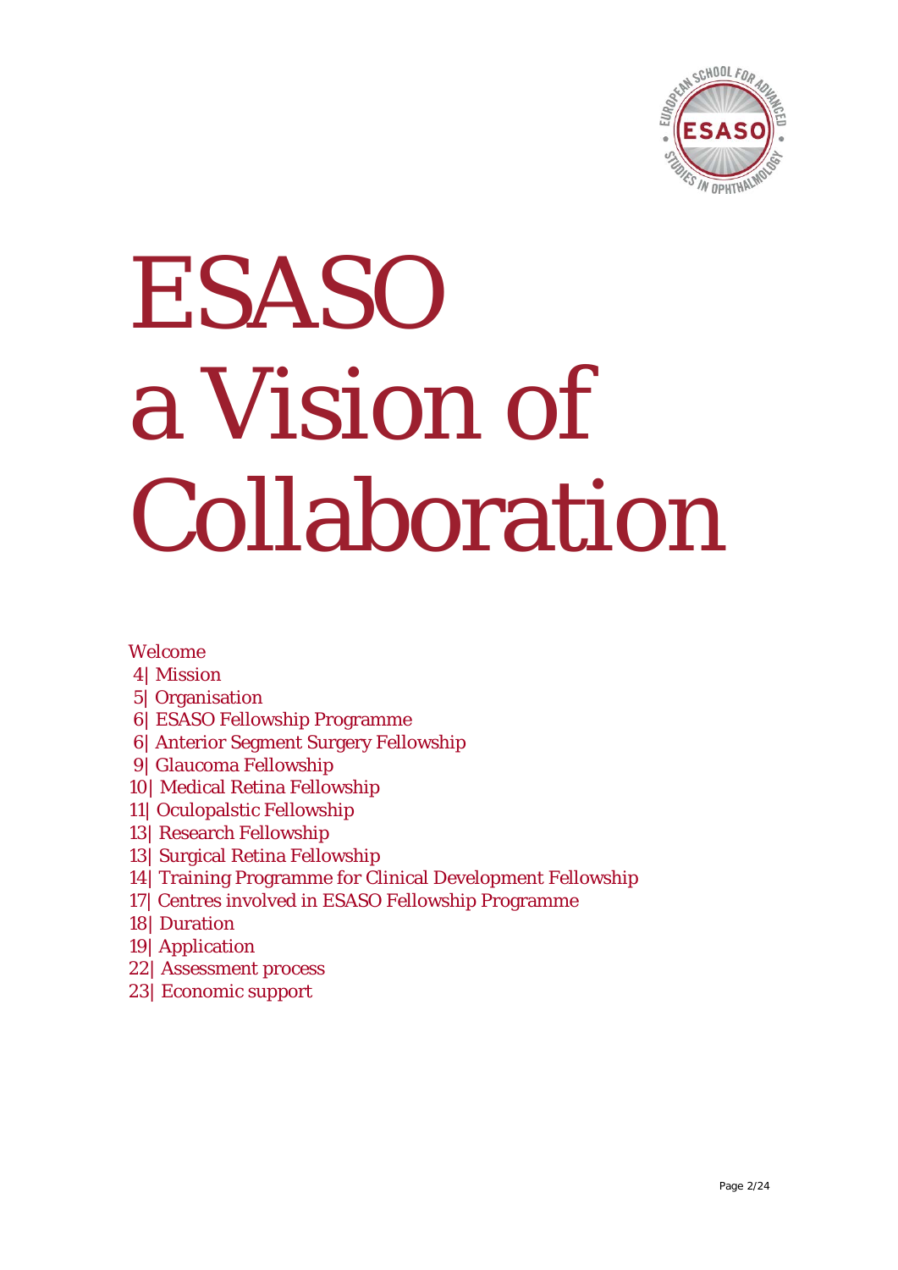

# ESASO a Vision of Collaboration

#### Welcome

- 4| Mission
- 5| Organisation
- 6| ESASO Fellowship Programme
- 6| Anterior Segment Surgery Fellowship
- 9| Glaucoma Fellowship
- 10| Medical Retina Fellowship
- 11| Oculopalstic Fellowship
- 13| Research Fellowship
- 13| Surgical Retina Fellowship
- 14| Training Programme for Clinical Development Fellowship
- 17| Centres involved in ESASO Fellowship Programme
- 18| Duration
- 19| Application
- 22| Assessment process
- 23| Economic support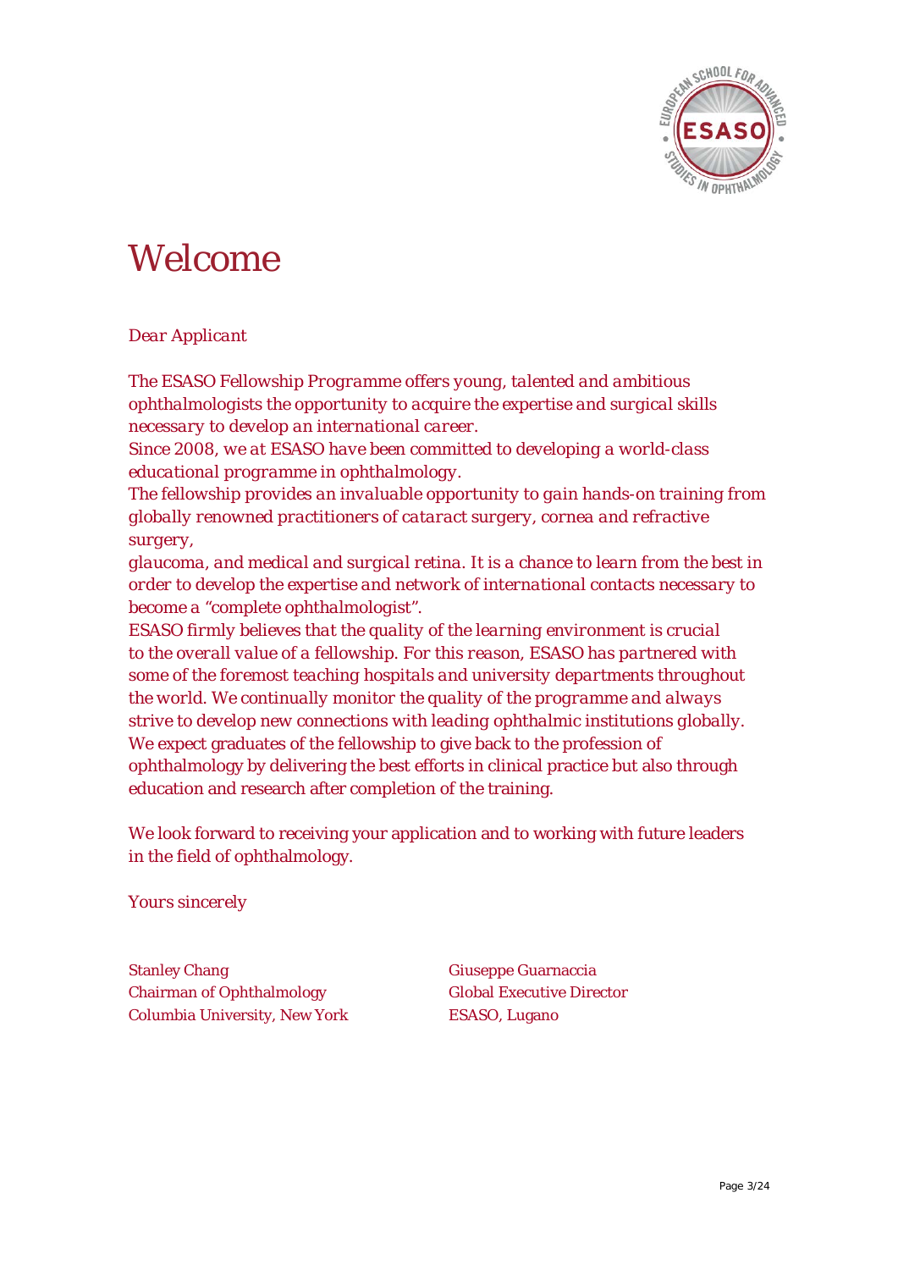

### Welcome

#### *Dear Applicant*

*The ESASO Fellowship Programme offers young, talented and ambitious ophthalmologists the opportunity to acquire the expertise and surgical skills necessary to develop an international career.*

*Since 2008, we at ESASO have been committed to developing a world-class educational programme in ophthalmology.*

*The fellowship provides an invaluable opportunity to gain hands-on training from globally renowned practitioners of cataract surgery, cornea and refractive surgery,*

*glaucoma, and medical and surgical retina. It is a chance to learn from the best in order to develop the expertise and network of international contacts necessary to become a "complete ophthalmologist".*

*ESASO firmly believes that the quality of the learning environment is crucial to the overall value of a fellowship. For this reason, ESASO has partnered with some of the foremost teaching hospitals and university departments throughout the world. We continually monitor the quality of the programme and always strive to develop new connections with leading ophthalmic institutions globally.* We expect graduates of the fellowship to give back to the profession of ophthalmology by delivering the best efforts in clinical practice but also through education and research after completion of the training.

We look forward to receiving your application and to working with future leaders in the field of ophthalmology.

*Yours sincerely*

Stanley Chang Giuseppe Guarnaccia Chairman of Ophthalmology Global Executive Director Columbia University, New York ESASO, Lugano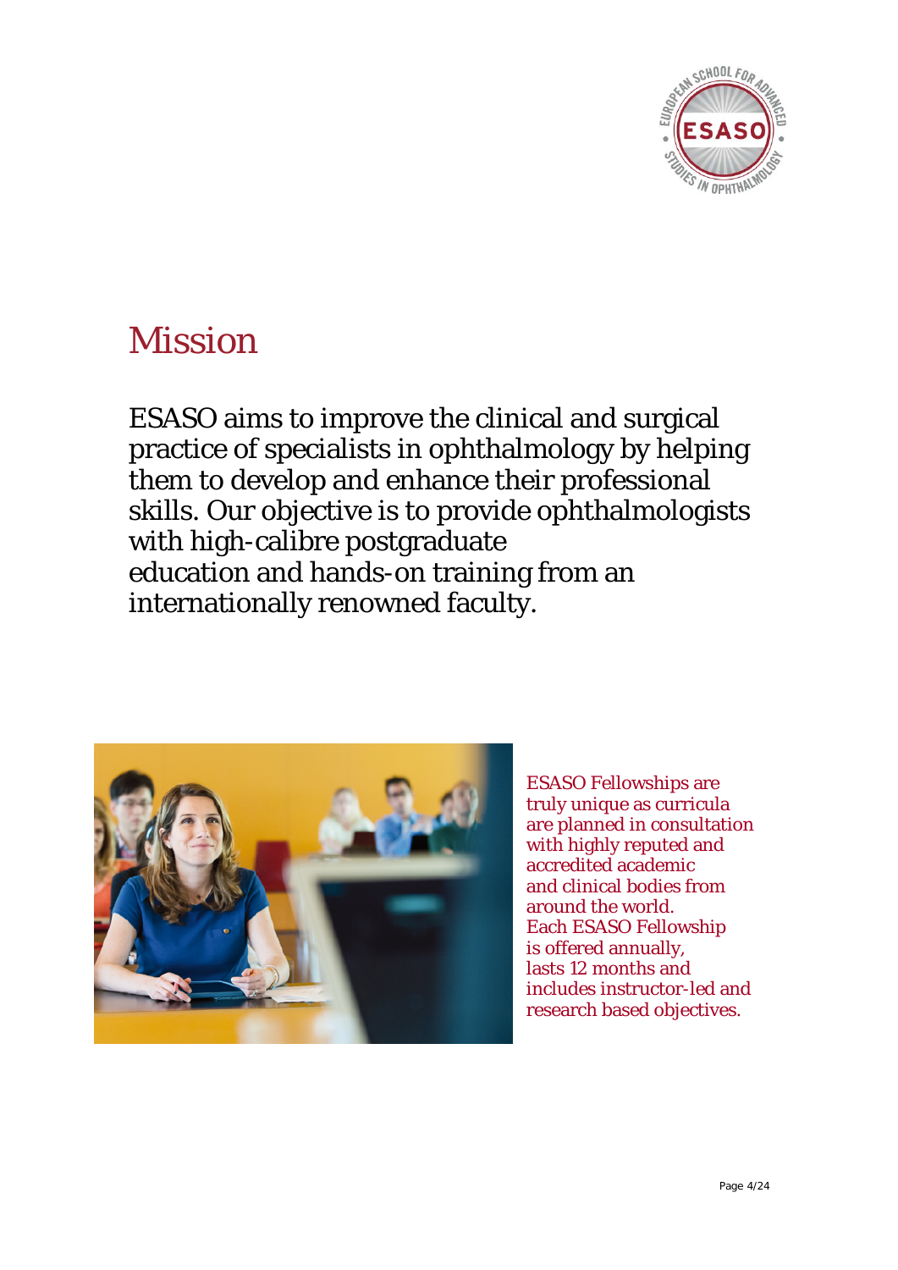

### Mission

ESASO aims to improve the clinical and surgical practice of specialists in ophthalmology by helping them to develop and enhance their professional skills. Our objective is to provide ophthalmologists with high-calibre postgraduate education and hands-on training from an internationally renowned faculty.



ESASO Fellowships are truly unique as curricula are planned in consultation with highly reputed and accredited academic and clinical bodies from around the world. Each ESASO Fellowship is offered annually, lasts 12 months and includes instructor-led and research based objectives.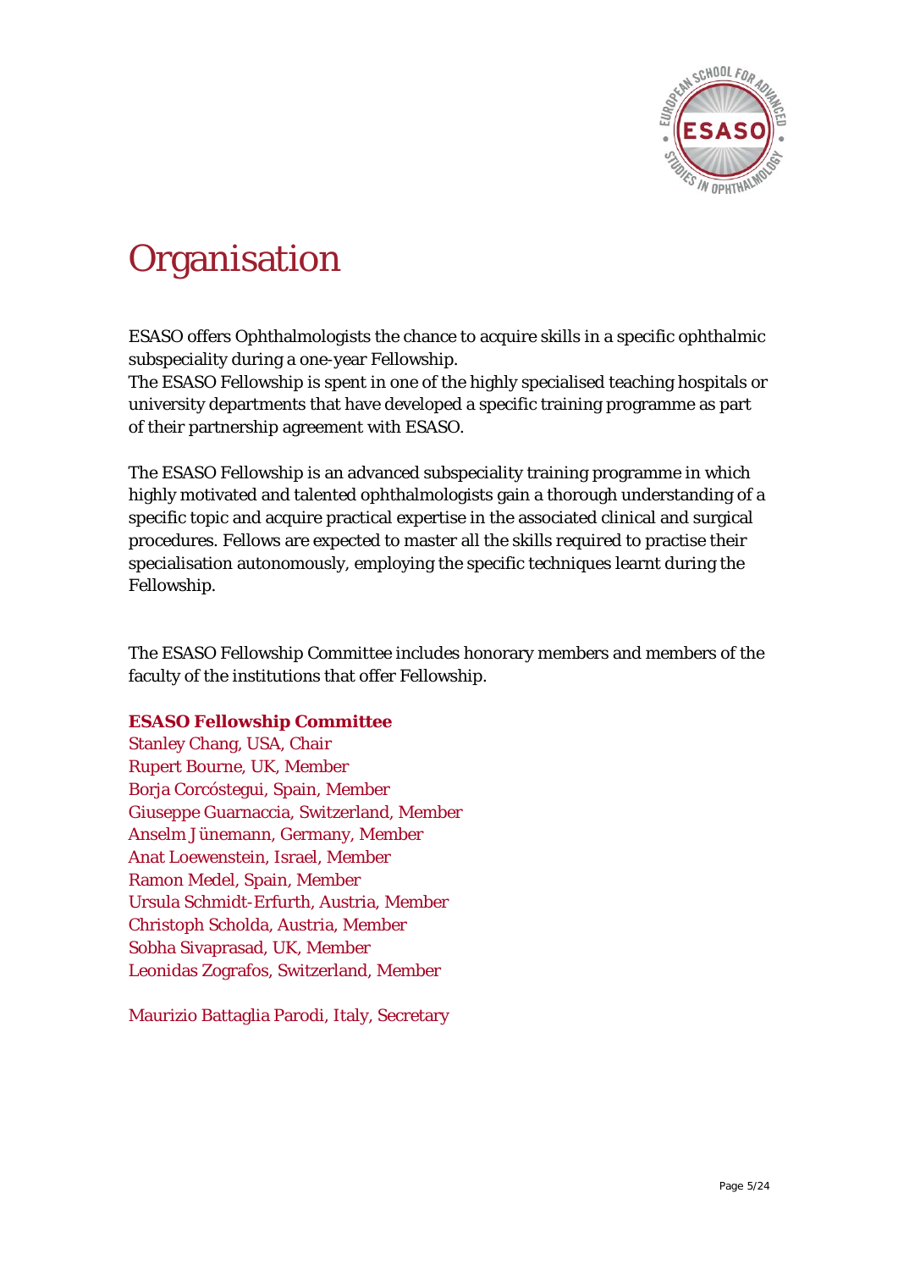

# **Organisation**

ESASO offers Ophthalmologists the chance to acquire skills in a specific ophthalmic subspeciality during a one-year Fellowship.

The ESASO Fellowship is spent in one of the highly specialised teaching hospitals or university departments that have developed a specific training programme as part of their partnership agreement with ESASO.

The ESASO Fellowship is an advanced subspeciality training programme in which highly motivated and talented ophthalmologists gain a thorough understanding of a specific topic and acquire practical expertise in the associated clinical and surgical procedures. Fellows are expected to master all the skills required to practise their specialisation autonomously, employing the specific techniques learnt during the Fellowship.

The ESASO Fellowship Committee includes honorary members and members of the faculty of the institutions that offer Fellowship.

#### **ESASO Fellowship Committee**

Stanley Chang, USA, Chair Rupert Bourne, UK, Member Borja Corcóstegui, Spain, Member Giuseppe Guarnaccia, Switzerland, Member Anselm Jünemann, Germany, Member Anat Loewenstein, Israel, Member Ramon Medel, Spain, Member Ursula Schmidt-Erfurth, Austria, Member Christoph Scholda, Austria, Member Sobha Sivaprasad, UK, Member Leonidas Zografos, Switzerland, Member

Maurizio Battaglia Parodi, Italy, Secretary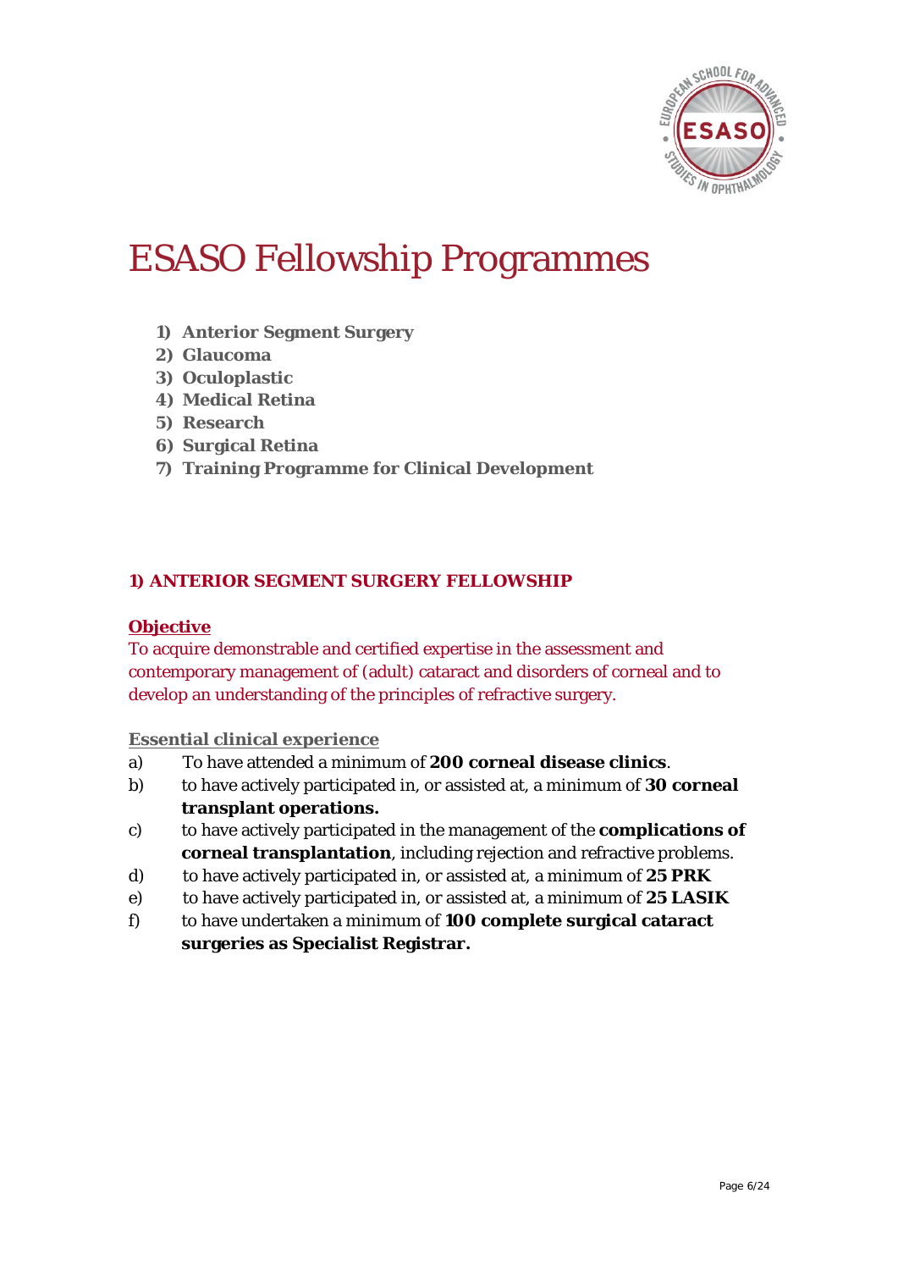

### ESASO Fellowship Programmes

- **1) Anterior Segment Surgery**
- **2) Glaucoma**
- **3) Oculoplastic**
- **4) Medical Retina**
- **5) Research**
- **6) Surgical Retina**
- **7) Training Programme for Clinical Development**

#### **1) ANTERIOR SEGMENT SURGERY FELLOWSHIP**

#### **Objective**

To acquire demonstrable and certified expertise in the assessment and contemporary management of (adult) cataract and disorders of corneal and to develop an understanding of the principles of refractive surgery.

#### **Essential clinical experience**

- a) To have attended a minimum of **200 corneal disease clinics**.
- b) to have actively participated in, or assisted at, a minimum of **30 corneal transplant operations.**
- c) to have actively participated in the management of the **complications of corneal transplantation**, including rejection and refractive problems.
- d) to have actively participated in, or assisted at, a minimum of **25 PRK**
- e) to have actively participated in, or assisted at, a minimum of **25 LASIK**
- f) to have undertaken a minimum of **100 complete surgical cataract surgeries as Specialist Registrar.**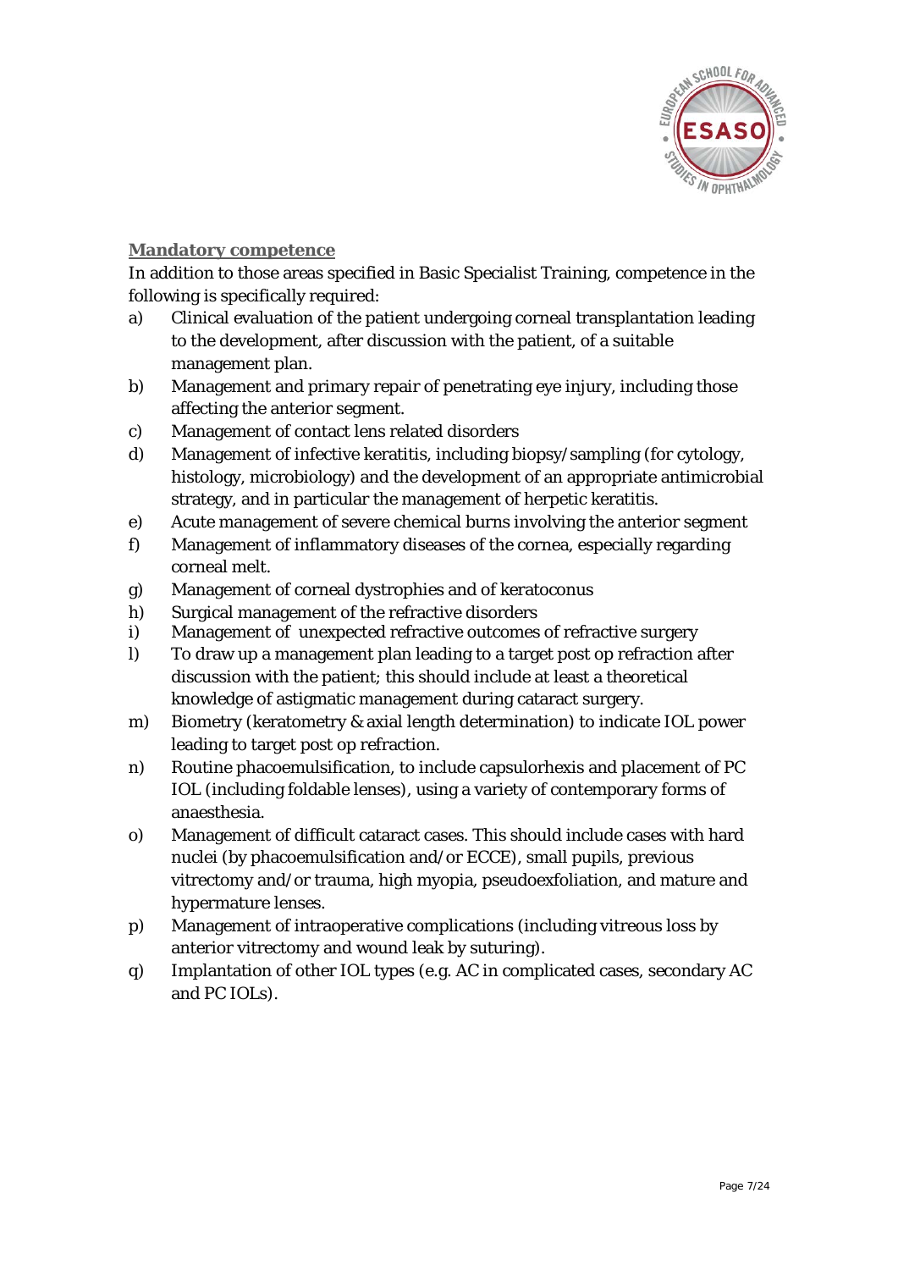

#### **Mandatory competence**

In addition to those areas specified in Basic Specialist Training, competence in the following is specifically required:

- a) Clinical evaluation of the patient undergoing corneal transplantation leading to the development, after discussion with the patient, of a suitable management plan.
- b) Management and primary repair of penetrating eye injury, including those affecting the anterior segment.
- c) Management of contact lens related disorders
- d) Management of infective keratitis, including biopsy/sampling (for cytology, histology, microbiology) and the development of an appropriate antimicrobial strategy, and in particular the management of herpetic keratitis.
- e) Acute management of severe chemical burns involving the anterior segment
- f) Management of inflammatory diseases of the cornea, especially regarding corneal melt.
- g) Management of corneal dystrophies and of keratoconus
- h) Surgical management of the refractive disorders
- i) Management of unexpected refractive outcomes of refractive surgery
- l) To draw up a management plan leading to a target post op refraction after discussion with the patient; this should include at least a theoretical knowledge of astigmatic management during cataract surgery.
- m) Biometry (keratometry & axial length determination) to indicate IOL power leading to target post op refraction.
- n) Routine phacoemulsification, to include capsulorhexis and placement of PC IOL (including foldable lenses), using a variety of contemporary forms of anaesthesia.
- o) Management of difficult cataract cases. This should include cases with hard nuclei (by phacoemulsification and/or ECCE), small pupils, previous vitrectomy and/or trauma, high myopia, pseudoexfoliation, and mature and hypermature lenses.
- p) Management of intraoperative complications (including vitreous loss by anterior vitrectomy and wound leak by suturing).
- q) Implantation of other IOL types (e.g. AC in complicated cases, secondary AC and PC IOLs).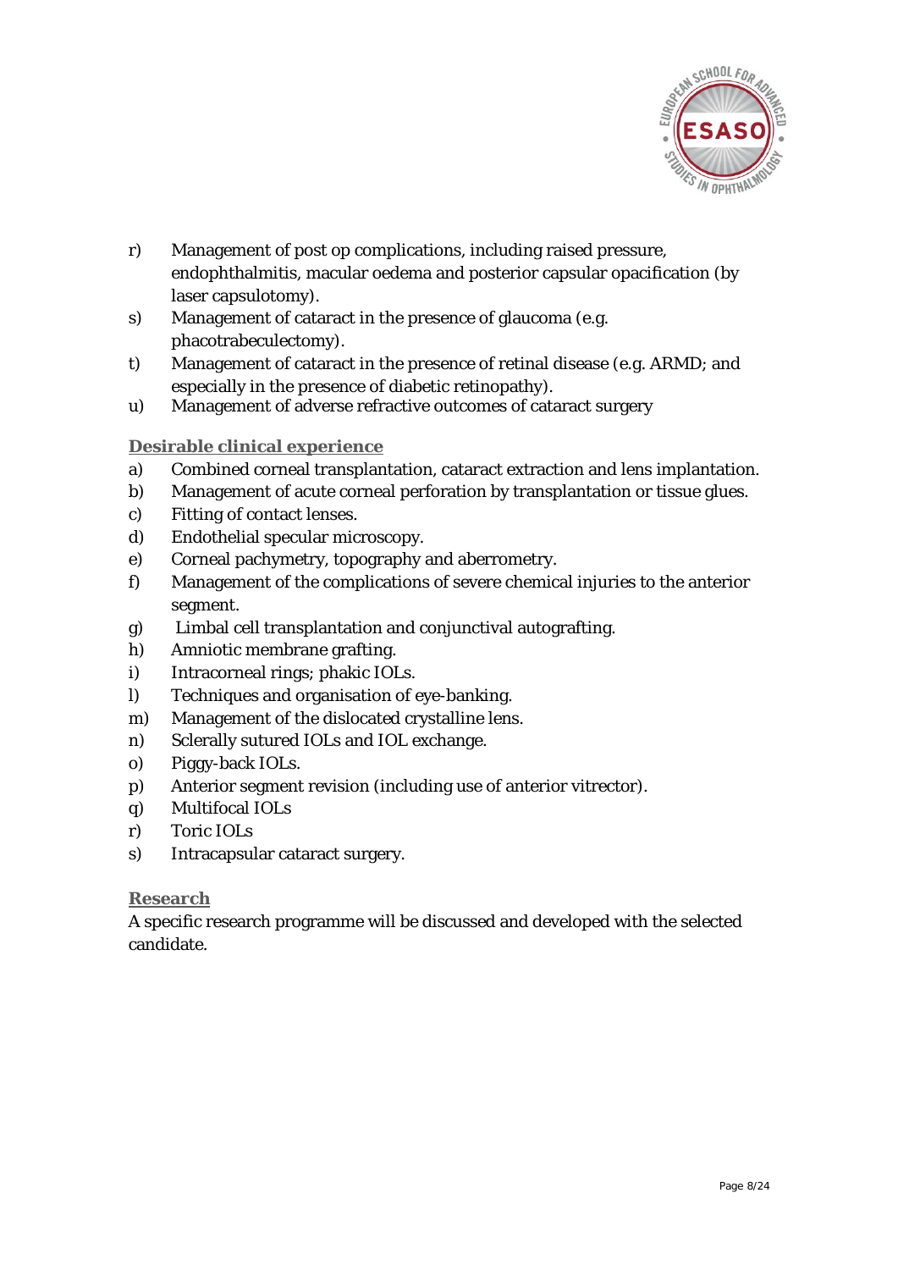

- r) Management of post op complications, including raised pressure, endophthalmitis, macular oedema and posterior capsular opacification (by laser capsulotomy).
- s) Management of cataract in the presence of glaucoma (e.g. phacotrabeculectomy).
- t) Management of cataract in the presence of retinal disease (e.g. ARMD; and especially in the presence of diabetic retinopathy).
- u) Management of adverse refractive outcomes of cataract surgery

#### **Desirable clinical experience**

- a) Combined corneal transplantation, cataract extraction and lens implantation.
- b) Management of acute corneal perforation by transplantation or tissue glues.
- c) Fitting of contact lenses.
- d) Endothelial specular microscopy.
- e) Corneal pachymetry, topography and aberrometry.
- f) Management of the complications of severe chemical injuries to the anterior segment.
- g) Limbal cell transplantation and conjunctival autografting.
- h) Amniotic membrane grafting.
- i) Intracorneal rings; phakic IOLs.
- l) Techniques and organisation of eye-banking.
- m) Management of the dislocated crystalline lens.
- n) Sclerally sutured IOLs and IOL exchange.
- o) Piggy-back IOLs.
- p) Anterior segment revision (including use of anterior vitrector).
- q) Multifocal IOLs
- r) Toric IOLs
- s) Intracapsular cataract surgery.

#### **Research**

A specific research programme will be discussed and developed with the selected candidate.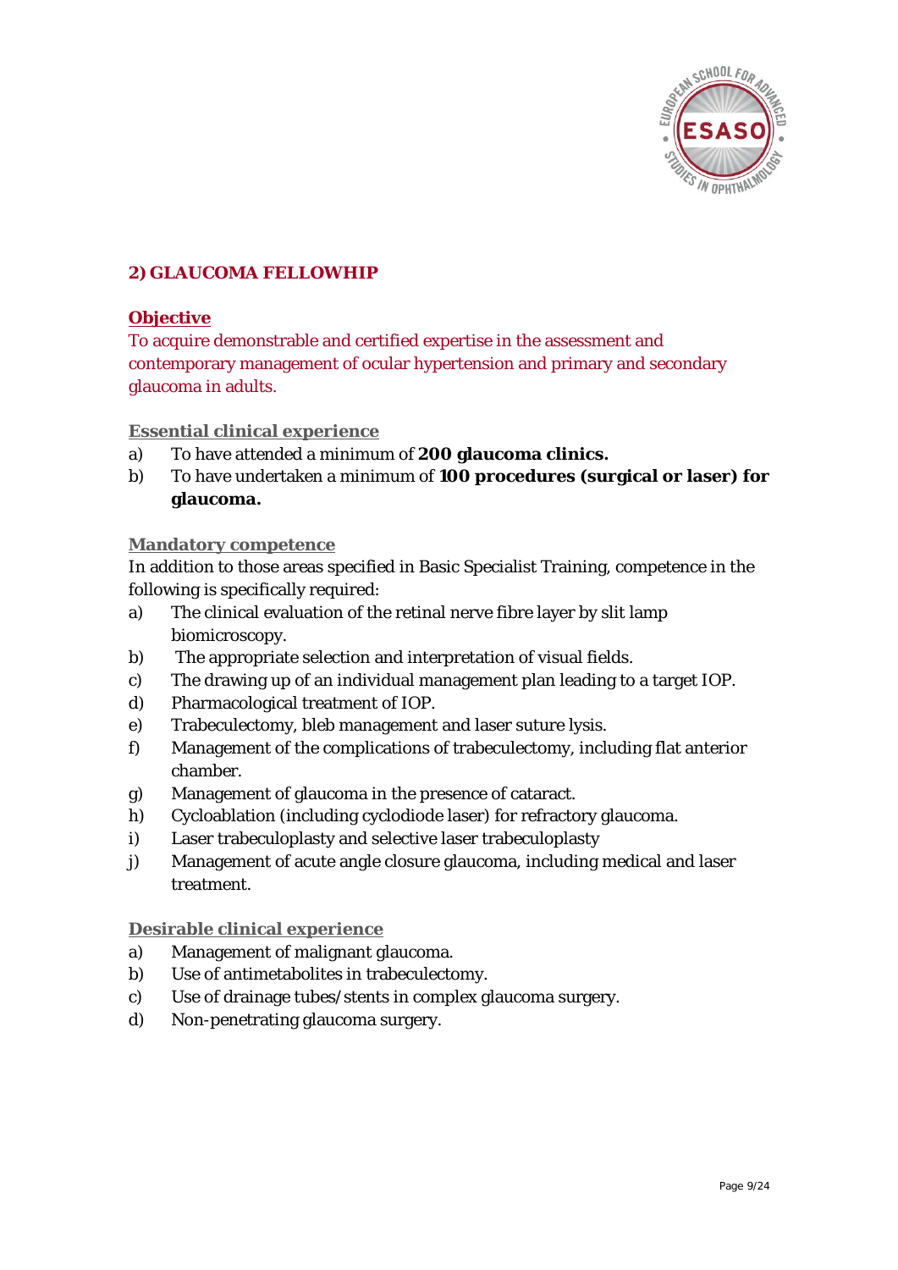

#### **2) GLAUCOMA FELLOWHIP**

#### **Objective**

To acquire demonstrable and certified expertise in the assessment and contemporary management of ocular hypertension and primary and secondary glaucoma in adults.

#### **Essential clinical experience**

- a) To have attended a minimum of **200 glaucoma clinics.**
- b) To have undertaken a minimum of **100 procedures (surgical or laser) for glaucoma.**

#### **Mandatory competence**

In addition to those areas specified in Basic Specialist Training, competence in the following is specifically required:

- a) The clinical evaluation of the retinal nerve fibre layer by slit lamp biomicroscopy.
- b) The appropriate selection and interpretation of visual fields.
- c) The drawing up of an individual management plan leading to a target IOP.
- d) Pharmacological treatment of IOP.
- e) Trabeculectomy, bleb management and laser suture lysis.
- f) Management of the complications of trabeculectomy, including flat anterior chamber.
- g) Management of glaucoma in the presence of cataract.
- h) Cycloablation (including cyclodiode laser) for refractory glaucoma.
- i) Laser trabeculoplasty and selective laser trabeculoplasty
- j) Management of acute angle closure glaucoma, including medical and laser treatment.

#### **Desirable clinical experience**

- a) Management of malignant glaucoma.
- b) Use of antimetabolites in trabeculectomy.
- c) Use of drainage tubes/stents in complex glaucoma surgery.
- d) Non-penetrating glaucoma surgery.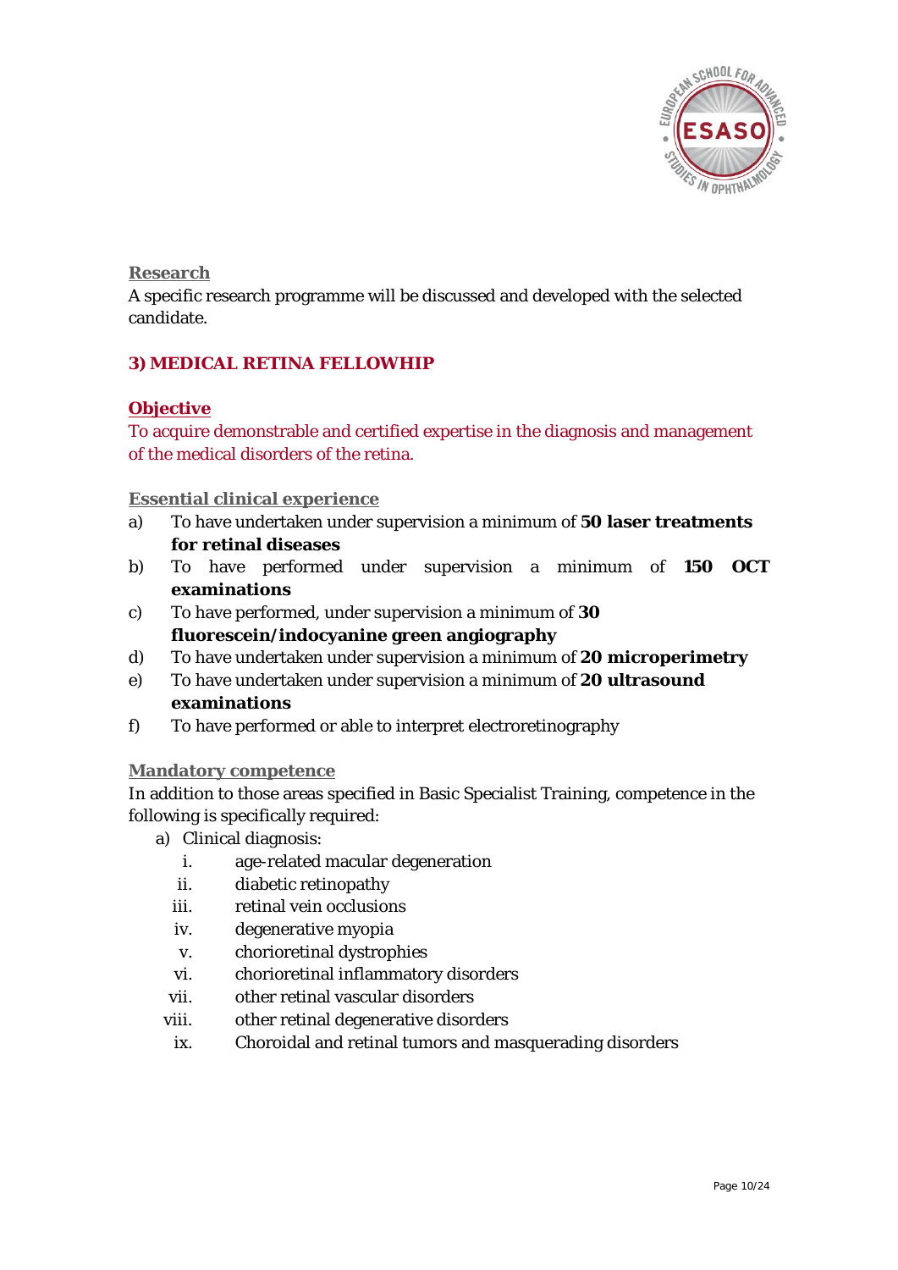

**Research**

A specific research programme will be discussed and developed with the selected candidate.

#### **3) MEDICAL RETINA FELLOWHIP**

#### **Objective**

To acquire demonstrable and certified expertise in the diagnosis and management of the medical disorders of the retina.

**Essential clinical experience** 

- a) To have undertaken under supervision a minimum of **50 laser treatments for retinal diseases**
- b) To have performed under supervision a minimum of **150 OCT examinations**
- c) To have performed, under supervision a minimum of **30 fluorescein/indocyanine green angiography**
- d) To have undertaken under supervision a minimum of **20 microperimetry**
- e) To have undertaken under supervision a minimum of **20 ultrasound examinations**
- f) To have performed or able to interpret electroretinography

#### **Mandatory competence**

In addition to those areas specified in Basic Specialist Training, competence in the following is specifically required:

- a) Clinical diagnosis:
	- i. age-related macular degeneration
	- ii. diabetic retinopathy
	- iii. retinal vein occlusions
	- iv. degenerative myopia
	- v. chorioretinal dystrophies
	- vi. chorioretinal inflammatory disorders
	- vii. other retinal vascular disorders
- viii. other retinal degenerative disorders
	- ix. Choroidal and retinal tumors and masquerading disorders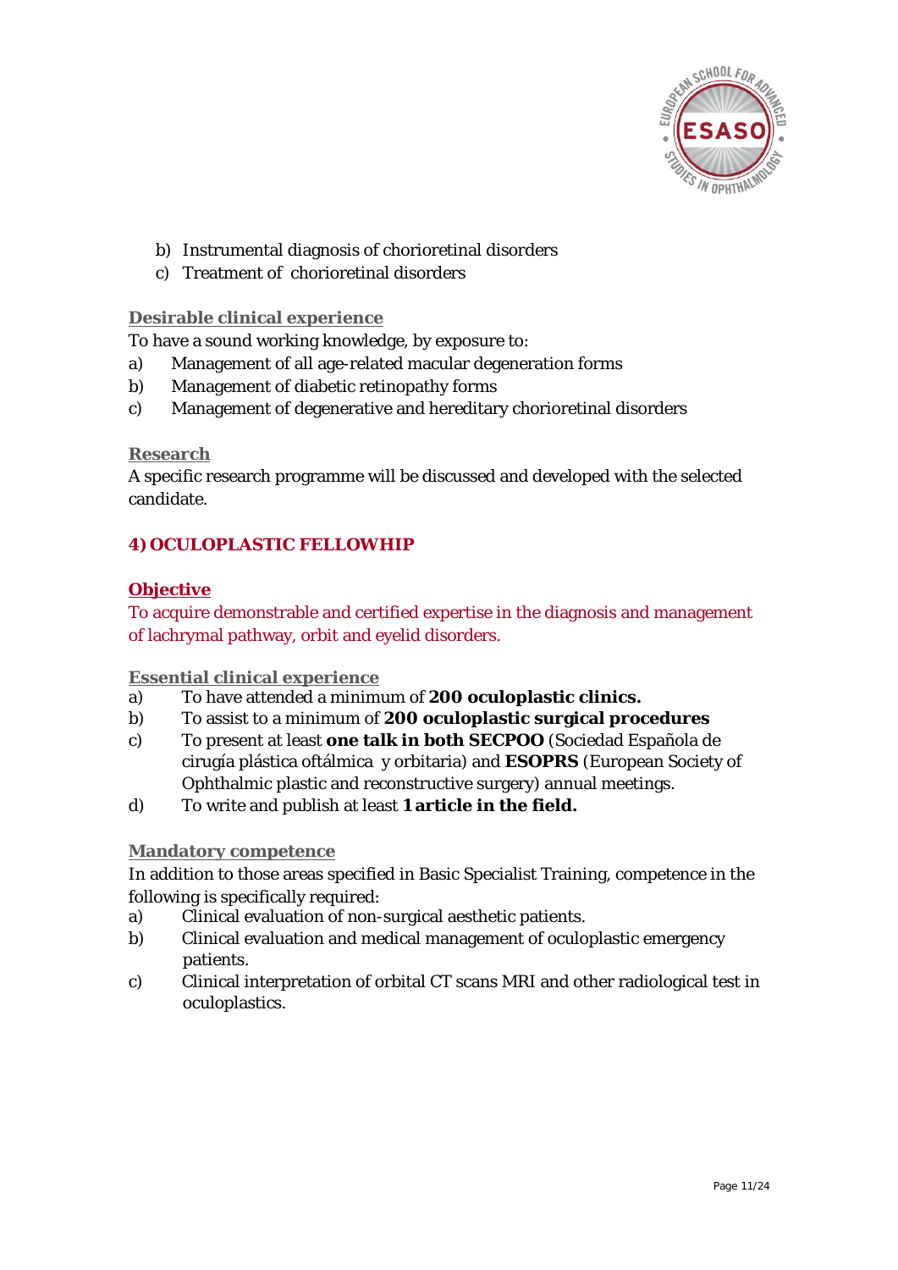

- b) Instrumental diagnosis of chorioretinal disorders
- c) Treatment of chorioretinal disorders

#### **Desirable clinical experience**

To have a sound working knowledge, by exposure to:

- a) Management of all age-related macular degeneration forms
- b) Management of diabetic retinopathy forms
- c) Management of degenerative and hereditary chorioretinal disorders

#### **Research**

A specific research programme will be discussed and developed with the selected candidate.

#### **4) OCULOPLASTIC FELLOWHIP**

#### **Objective**

To acquire demonstrable and certified expertise in the diagnosis and management of lachrymal pathway, orbit and eyelid disorders.

#### **Essential clinical experience**

- a) To have attended a minimum of **200 oculoplastic clinics.**
- b) To assist to a minimum of **200 oculoplastic surgical procedures**
- c) To present at least **one talk in both SECPOO** (Sociedad Española de cirugía plástica oftálmica y orbitaria) and **ESOPRS** (European Society of Ophthalmic plastic and reconstructive surgery) annual meetings.
- d) To write and publish at least **1 article in the field.**

#### **Mandatory competence**

In addition to those areas specified in Basic Specialist Training, competence in the following is specifically required:

- a) Clinical evaluation of non-surgical aesthetic patients.
- b) Clinical evaluation and medical management of oculoplastic emergency patients.
- c) Clinical interpretation of orbital CT scans MRI and other radiological test in oculoplastics.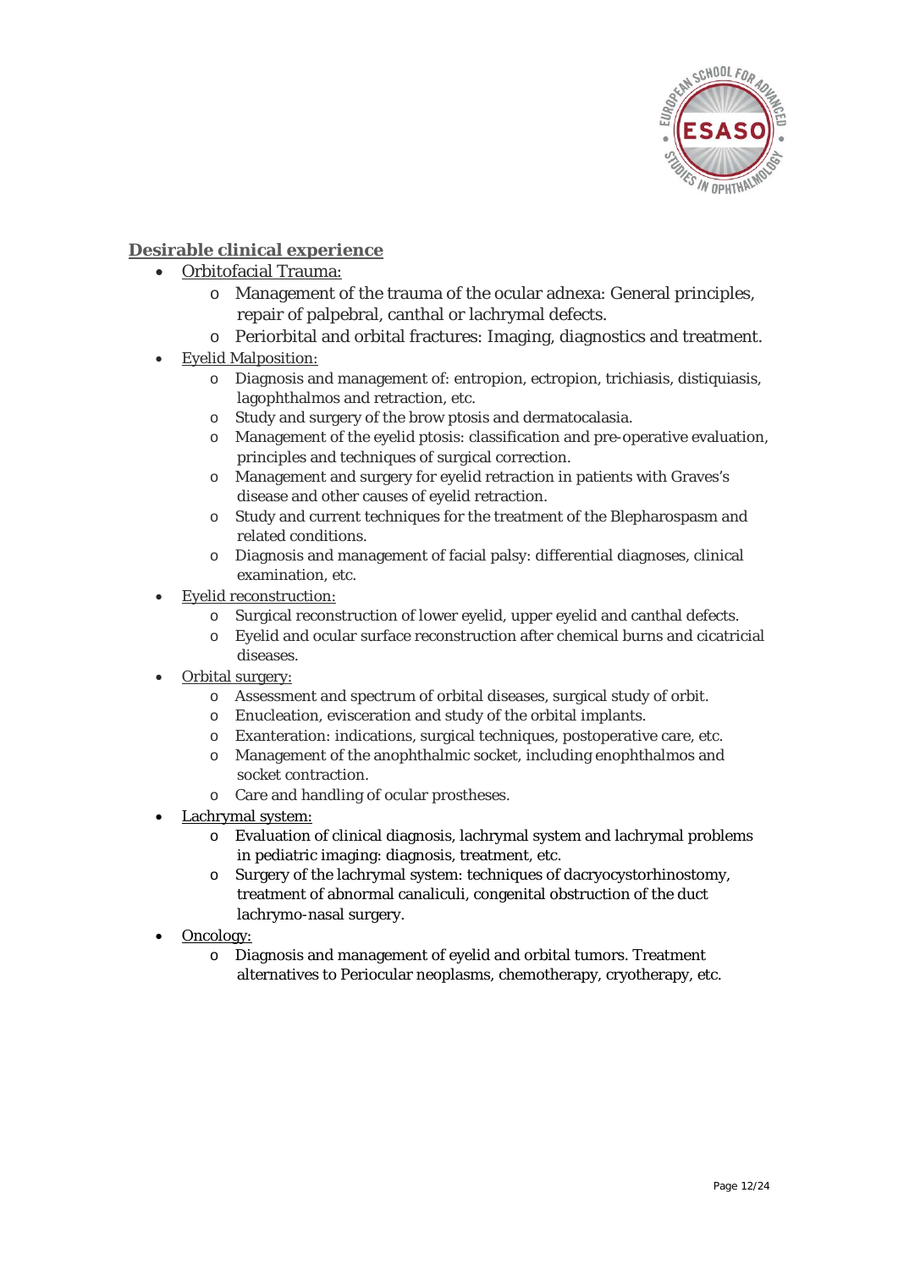

#### **Desirable clinical experience**

- Orbitofacial Trauma:
	- o Management of the trauma of the ocular adnexa: General principles, repair of palpebral, canthal or lachrymal defects.
	- o Periorbital and orbital fractures: Imaging, diagnostics and treatment.
- Eyelid Malposition:
	- o Diagnosis and management of: entropion, ectropion, trichiasis, distiquiasis, lagophthalmos and retraction, etc.
	- o Study and surgery of the brow ptosis and dermatocalasia.
	- o Management of the eyelid ptosis: classification and pre-operative evaluation, principles and techniques of surgical correction.
	- o Management and surgery for eyelid retraction in patients with Graves's disease and other causes of eyelid retraction.
	- o Study and current techniques for the treatment of the Blepharospasm and related conditions.
	- o Diagnosis and management of facial palsy: differential diagnoses, clinical examination, etc.
- Eyelid reconstruction:
	- o Surgical reconstruction of lower eyelid, upper eyelid and canthal defects.
	- o Eyelid and ocular surface reconstruction after chemical burns and cicatricial diseases.
- Orbital surgery:
	- o Assessment and spectrum of orbital diseases, surgical study of orbit.
	- o Enucleation, evisceration and study of the orbital implants.
	- o Exanteration: indications, surgical techniques, postoperative care, etc.
	- o Management of the anophthalmic socket, including enophthalmos and socket contraction.
	- o Care and handling of ocular prostheses.
- Lachrymal system:
	- o Evaluation of clinical diagnosis, lachrymal system and lachrymal problems in pediatric imaging: diagnosis, treatment, etc.
	- o Surgery of the lachrymal system: techniques of dacryocystorhinostomy, treatment of abnormal canaliculi, congenital obstruction of the duct lachrymo-nasal surgery.
- Oncology:
	- o Diagnosis and management of eyelid and orbital tumors. Treatment alternatives to Periocular neoplasms, chemotherapy, cryotherapy, etc.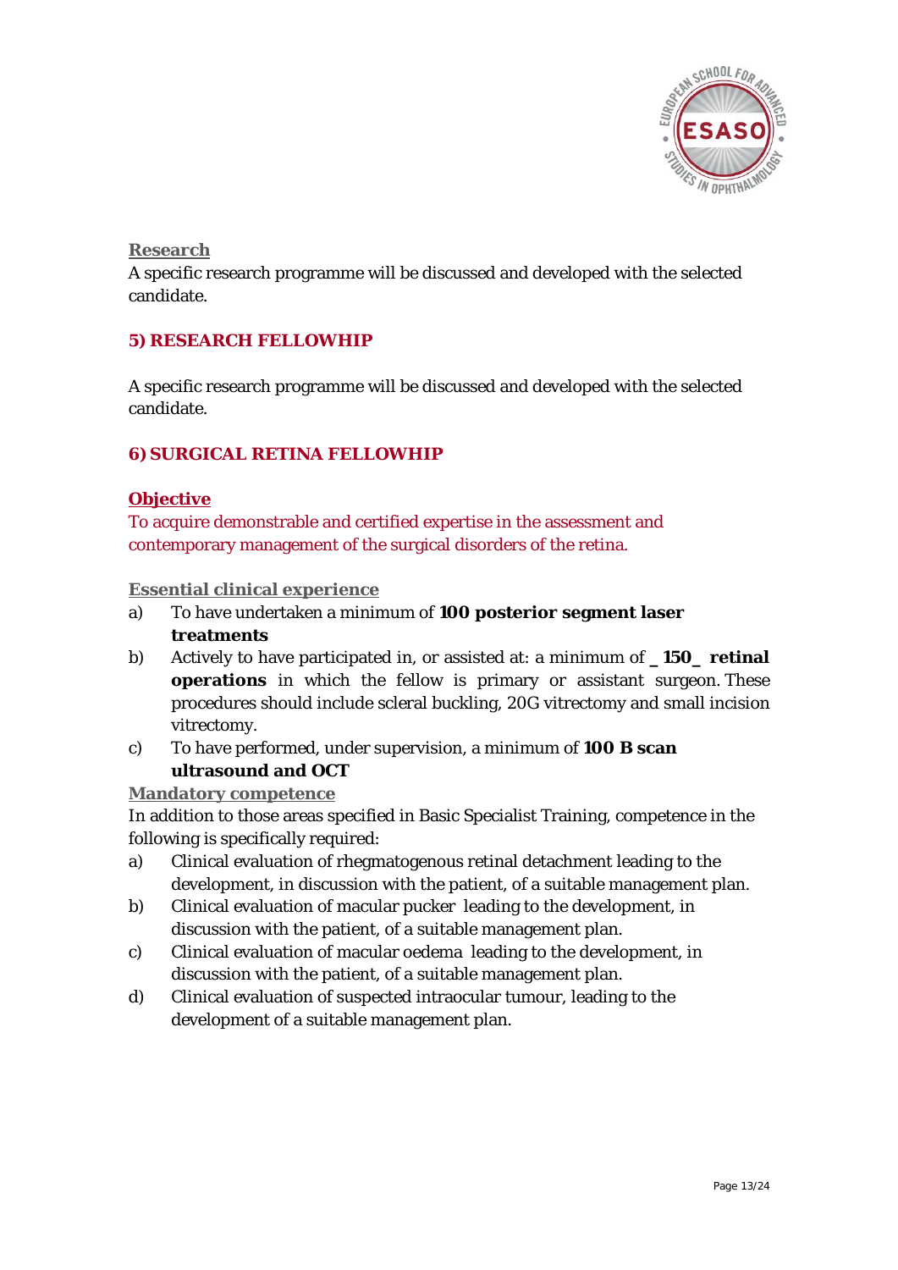

**Research**

A specific research programme will be discussed and developed with the selected candidate.

#### **5) RESEARCH FELLOWHIP**

A specific research programme will be discussed and developed with the selected candidate.

#### **6)SURGICAL RETINA FELLOWHIP**

#### **Objective**

To acquire demonstrable and certified expertise in the assessment and contemporary management of the surgical disorders of the retina.

#### **Essential clinical experience**

- a) To have undertaken a minimum of **100 posterior segment laser treatments**
- b) Actively to have participated in, or assisted at: a minimum of **\_150\_ retinal operations** in which the fellow is primary or assistant surgeon. These procedures should include scleral buckling, 20G vitrectomy and small incision vitrectomy.
- c) To have performed, under supervision, a minimum of **100 B scan ultrasound and OCT**

#### **Mandatory competence**

In addition to those areas specified in Basic Specialist Training, competence in the following is specifically required:

- a) Clinical evaluation of rhegmatogenous retinal detachment leading to the development, in discussion with the patient, of a suitable management plan.
- b) Clinical evaluation of macular pucker leading to the development, in discussion with the patient, of a suitable management plan.
- c) Clinical evaluation of macular oedema leading to the development, in discussion with the patient, of a suitable management plan.
- d) Clinical evaluation of suspected intraocular tumour, leading to the development of a suitable management plan.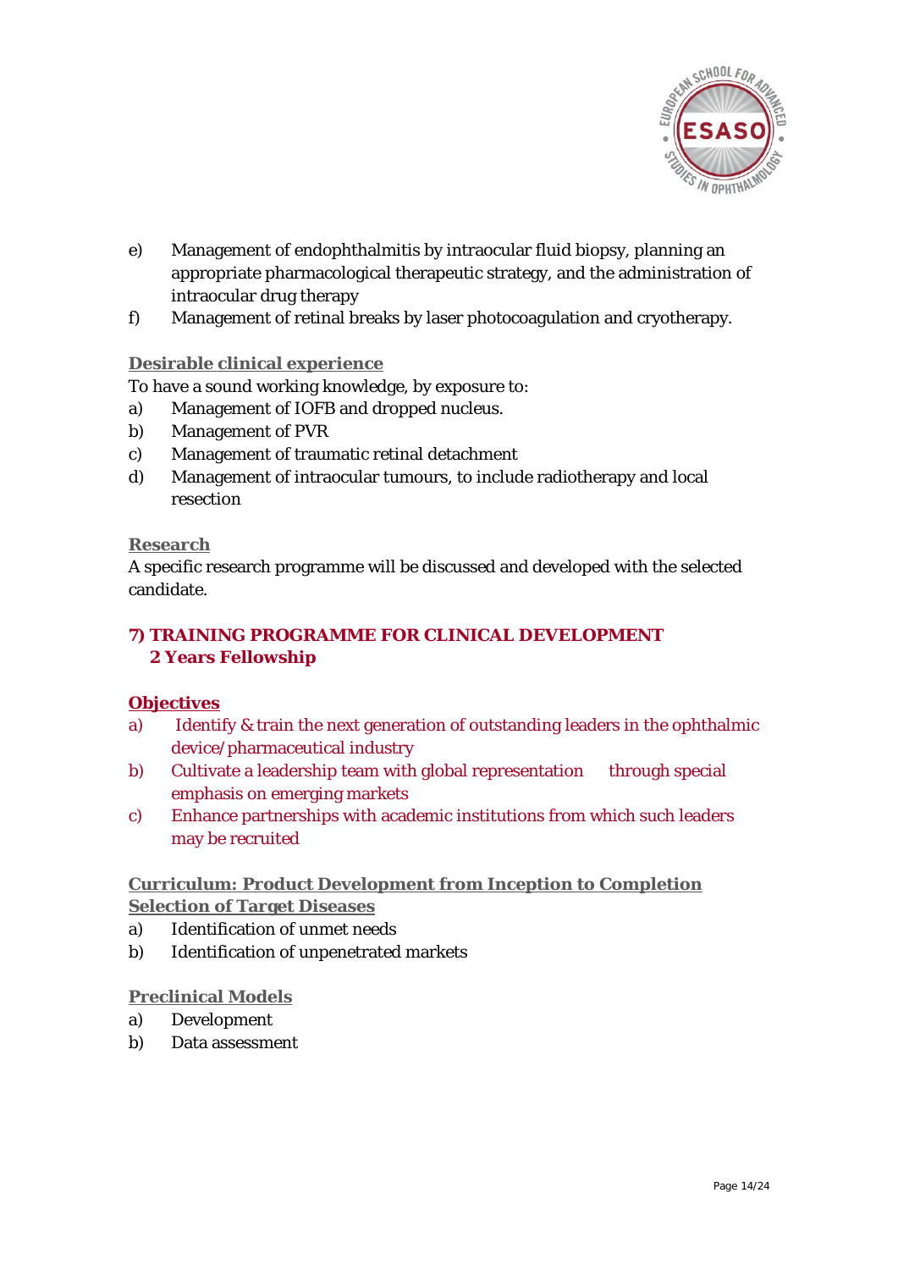

- e) Management of endophthalmitis by intraocular fluid biopsy, planning an appropriate pharmacological therapeutic strategy, and the administration of intraocular drug therapy
- f) Management of retinal breaks by laser photocoagulation and cryotherapy.

#### **Desirable clinical experience**

To have a sound working knowledge, by exposure to:

- a) Management of IOFB and dropped nucleus.
- b) Management of PVR
- c) Management of traumatic retinal detachment
- d) Management of intraocular tumours, to include radiotherapy and local resection

#### **Research**

A specific research programme will be discussed and developed with the selected candidate.

#### **7) TRAINING PROGRAMME FOR CLINICAL DEVELOPMENT 2 Years Fellowship**

#### **Objectives**

- a) Identify & train the next generation of outstanding leaders in the ophthalmic device/pharmaceutical industry
- b) Cultivate a leadership team with global representation through special emphasis on emerging markets
- c) Enhance partnerships with academic institutions from which such leaders may be recruited

#### **Curriculum: Product Development from Inception to Completion Selection of Target Diseases**

- a) Identification of unmet needs
- b) Identification of unpenetrated markets

#### **Preclinical Models**

- a) Development
- b) Data assessment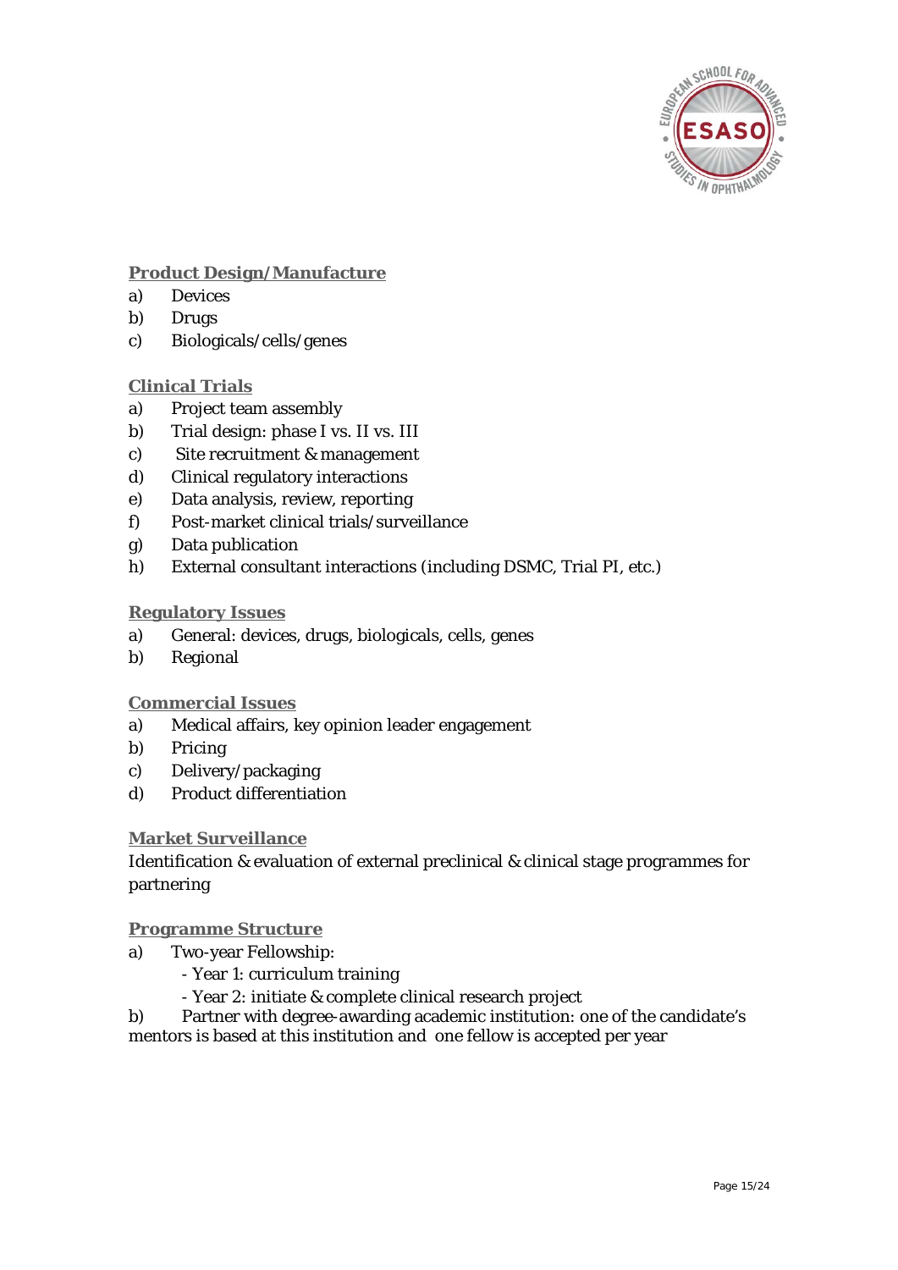

#### **Product Design/Manufacture**

- a) Devices
- b) Drugs
- c) Biologicals/cells/genes

#### **Clinical Trials**

- a) Project team assembly
- b) Trial design: phase I vs. II vs. III
- c) Site recruitment & management
- d) Clinical regulatory interactions
- e) Data analysis, review, reporting
- f) Post-market clinical trials/surveillance
- g) Data publication
- h) External consultant interactions (including DSMC, Trial PI, etc.)

#### **Regulatory Issues**

- a) General: devices, drugs, biologicals, cells, genes
- b) Regional

#### **Commercial Issues**

- a) Medical affairs, key opinion leader engagement
- b) Pricing
- c) Delivery/packaging
- d) Product differentiation

#### **Market Surveillance**

Identification & evaluation of external preclinical & clinical stage programmes for partnering

#### **Programme Structure**

- a) Two-year Fellowship:
	- Year 1: curriculum training
	- Year 2: initiate & complete clinical research project

b) Partner with degree-awarding academic institution: one of the candidate's mentors is based at this institution and one fellow is accepted per year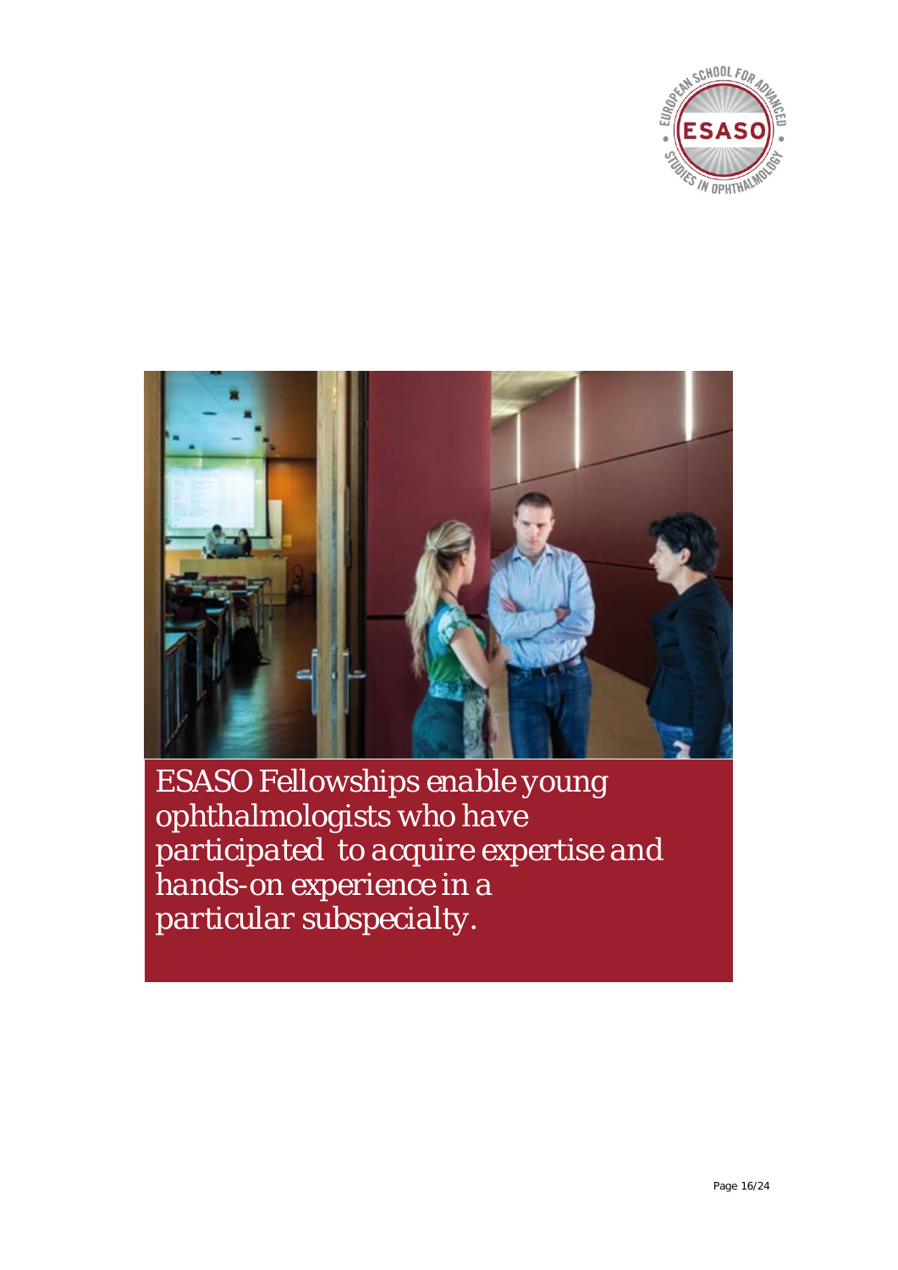



*ESASO Fellowships enable young ophthalmologists who have participated to acquire expertise and hands-on experience in a particular subspecialty.*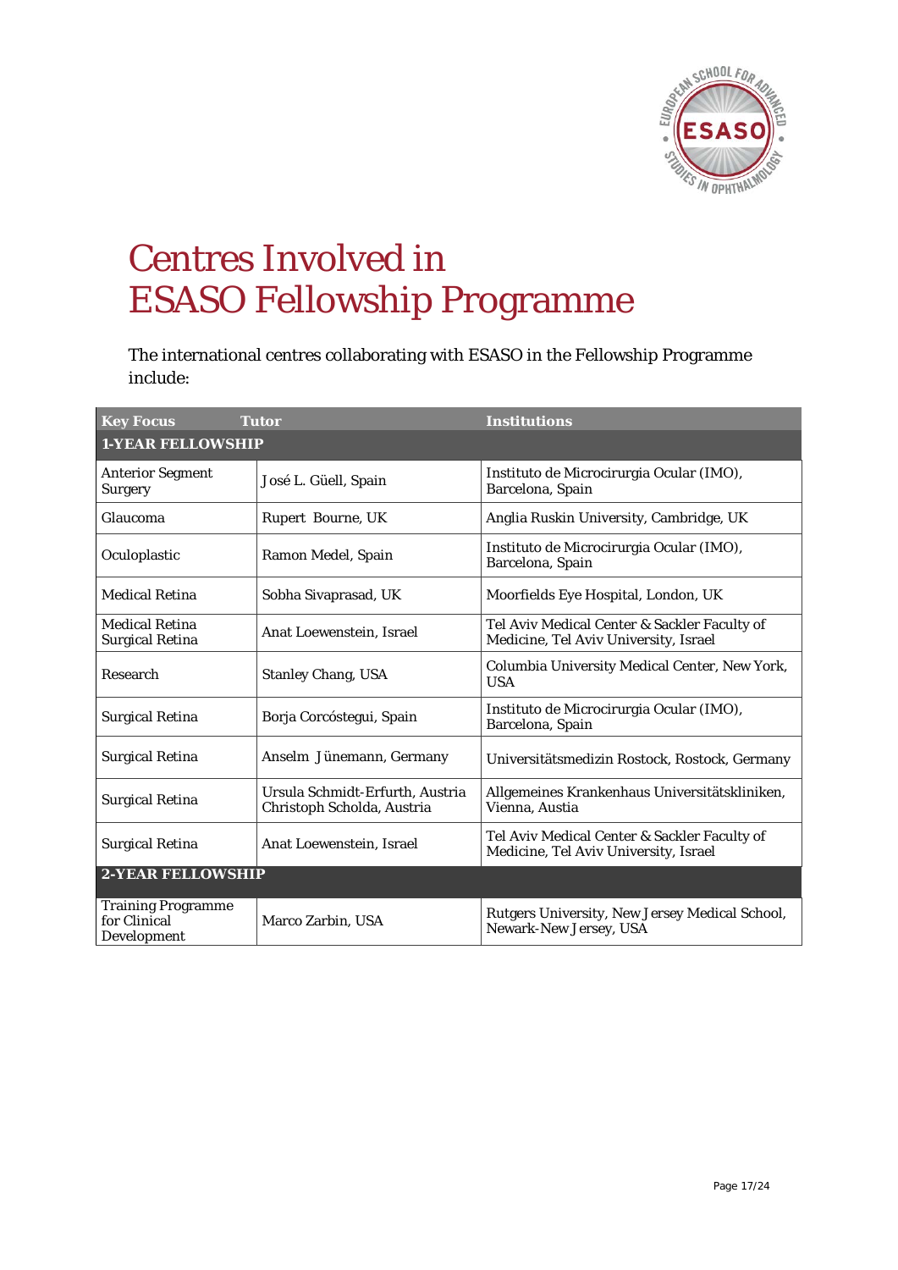

## Centres Involved in ESASO Fellowship Programme

The international centres collaborating with ESASO in the Fellowship Programme include:

| <b>Key Focus</b>                                         | <b>Tutor</b>                                                  | <b>Institutions</b>                                                                   |
|----------------------------------------------------------|---------------------------------------------------------------|---------------------------------------------------------------------------------------|
| <b>1-YEAR FELLOWSHIP</b>                                 |                                                               |                                                                                       |
| <b>Anterior Segment</b><br><b>Surgery</b>                | José L. Güell, Spain                                          | Instituto de Microcirurgia Ocular (IMO),<br>Barcelona, Spain                          |
| Glaucoma                                                 | Rupert Bourne, UK                                             | Anglia Ruskin University, Cambridge, UK                                               |
| Oculoplastic                                             | Ramon Medel, Spain                                            | Instituto de Microcirurgia Ocular (IMO),<br>Barcelona, Spain                          |
| <b>Medical Retina</b>                                    | Sobha Sivaprasad, UK                                          | Moorfields Eye Hospital, London, UK                                                   |
| <b>Medical Retina</b><br><b>Surgical Retina</b>          | Anat Loewenstein, Israel                                      | Tel Aviv Medical Center & Sackler Faculty of<br>Medicine, Tel Aviv University, Israel |
| Research                                                 | <b>Stanley Chang, USA</b>                                     | Columbia University Medical Center, New York,<br><b>USA</b>                           |
| <b>Surgical Retina</b>                                   | Borja Corcóstegui, Spain                                      | Instituto de Microcirurgia Ocular (IMO),<br>Barcelona, Spain                          |
| <b>Surgical Retina</b>                                   | Anselm Jünemann, Germany                                      | Universitätsmedizin Rostock, Rostock, Germany                                         |
| <b>Surgical Retina</b>                                   | Ursula Schmidt-Erfurth, Austria<br>Christoph Scholda, Austria | Allgemeines Krankenhaus Universitätskliniken,<br>Vienna, Austia                       |
| <b>Surgical Retina</b>                                   | Anat Loewenstein, Israel                                      | Tel Aviv Medical Center & Sackler Faculty of<br>Medicine, Tel Aviv University, Israel |
| <b>2-YEAR FELLOWSHIP</b>                                 |                                                               |                                                                                       |
| <b>Training Programme</b><br>for Clinical<br>Development | Marco Zarbin, USA                                             | Rutgers University, New Jersey Medical School,<br>Newark-New Jersey, USA              |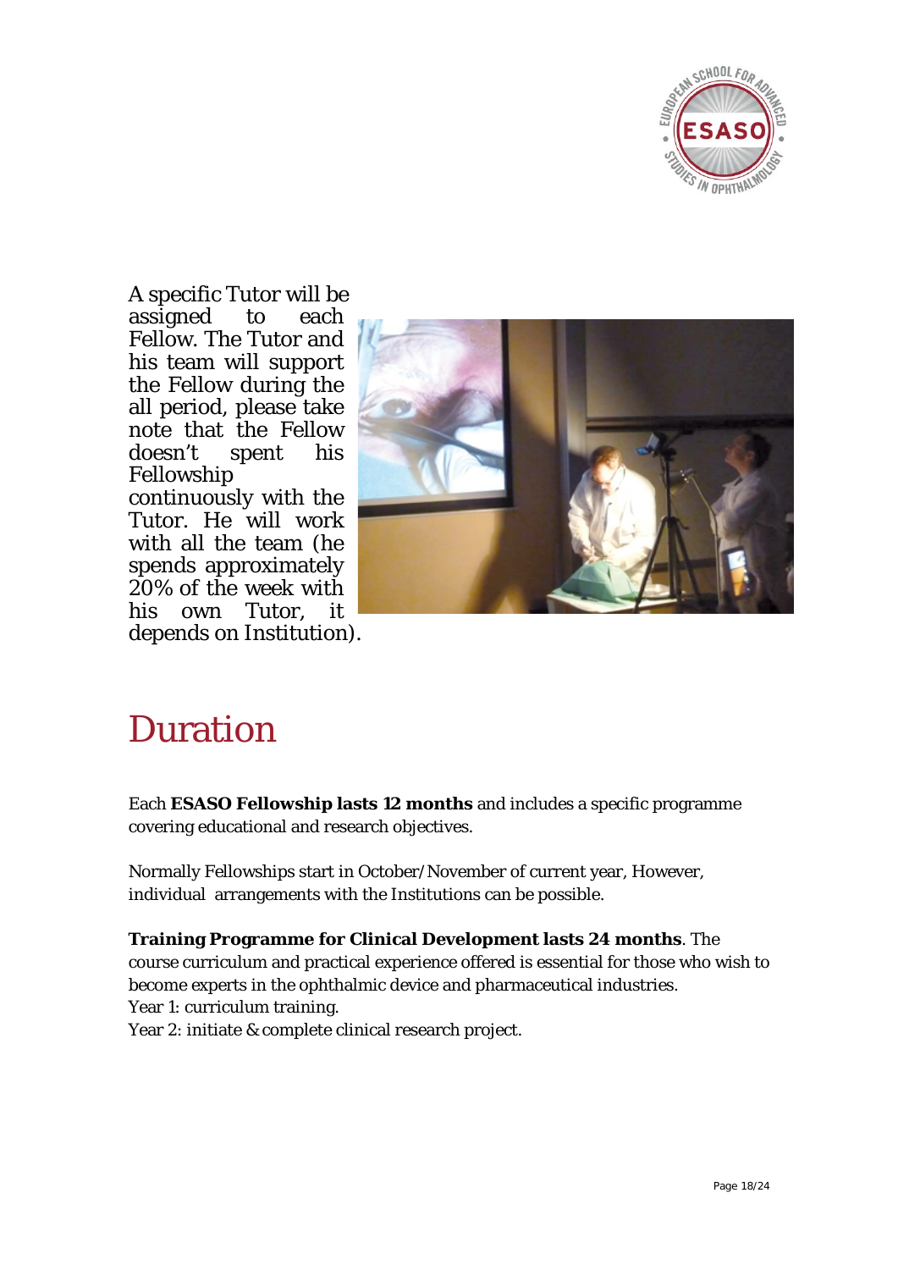

A specific Tutor will be assigned to each Fellow. The Tutor and his team will support the Fellow during the all period, please take note that the Fellow doesn't spent his Fellowship continuously with the Tutor. He will work with all the team (he spends approximately 20% of the week with his own Tutor, it depends on Institution).



### Duration

Each **ESASO Fellowship lasts 12 months** and includes a specific programme covering educational and research objectives.

Normally Fellowships start in October/November of current year, However, individual arrangements with the Institutions can be possible.

**Training Programme for Clinical Development lasts 24 months**. The course curriculum and practical experience offered is essential for those who wish to become experts in the ophthalmic device and pharmaceutical industries. Year 1: curriculum training.

Year 2: initiate & complete clinical research project.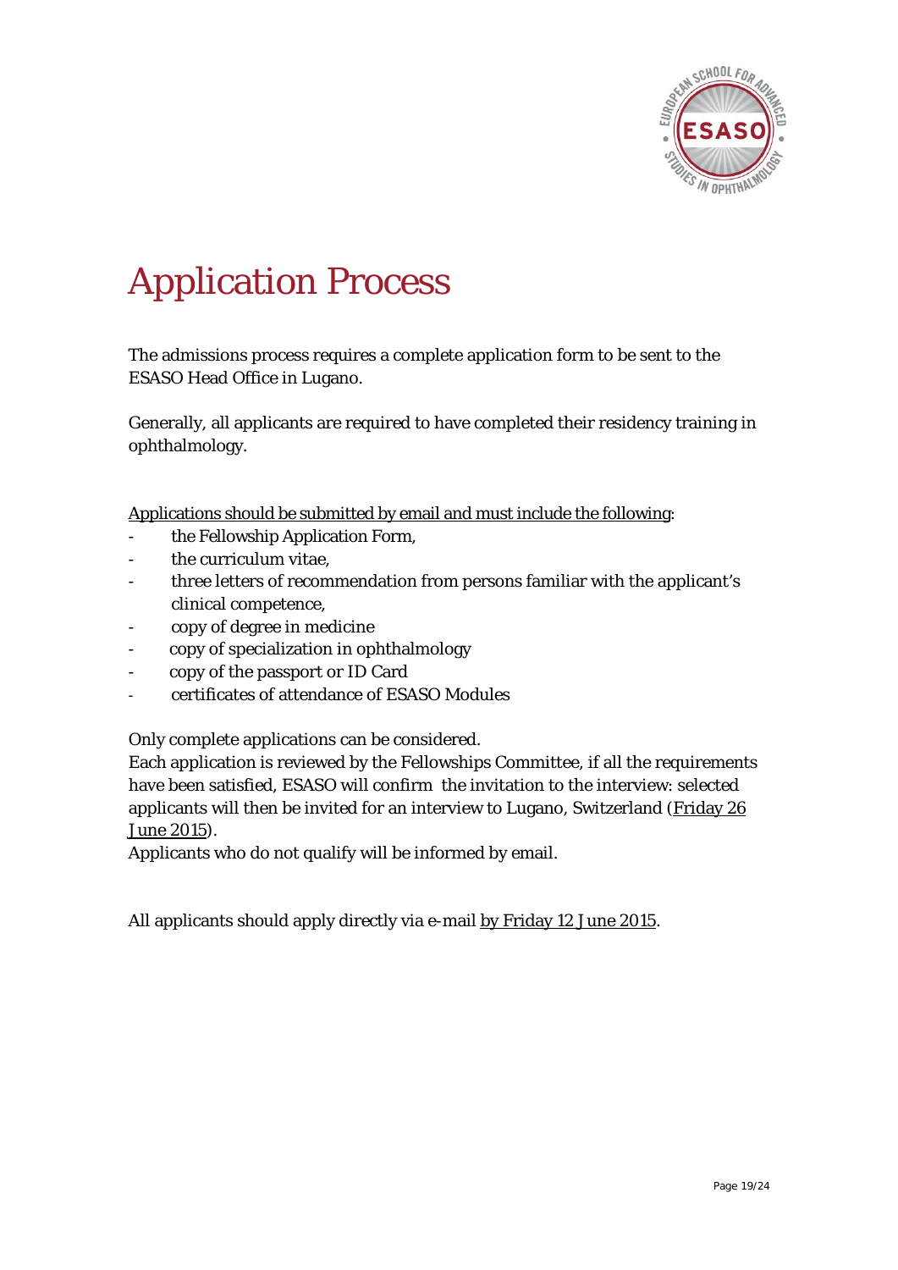

# Application Process

The admissions process requires a complete application form to be sent to the ESASO Head Office in Lugano.

Generally, all applicants are required to have completed their residency training in ophthalmology.

Applications should be submitted by email and must include the following:

- the Fellowship Application Form,
- the curriculum vitae.
- three letters of recommendation from persons familiar with the applicant's clinical competence,
- copy of degree in medicine
- copy of specialization in ophthalmology
- copy of the passport or ID Card
- certificates of attendance of ESASO Modules

Only complete applications can be considered.

Each application is reviewed by the Fellowships Committee, if all the requirements have been satisfied, ESASO will confirm the invitation to the interview: selected applicants will then be invited for an interview to Lugano, Switzerland (Friday 26 June 2015).

Applicants who do not qualify will be informed by email.

All applicants should apply directly via e-mail by Friday 12 June 2015.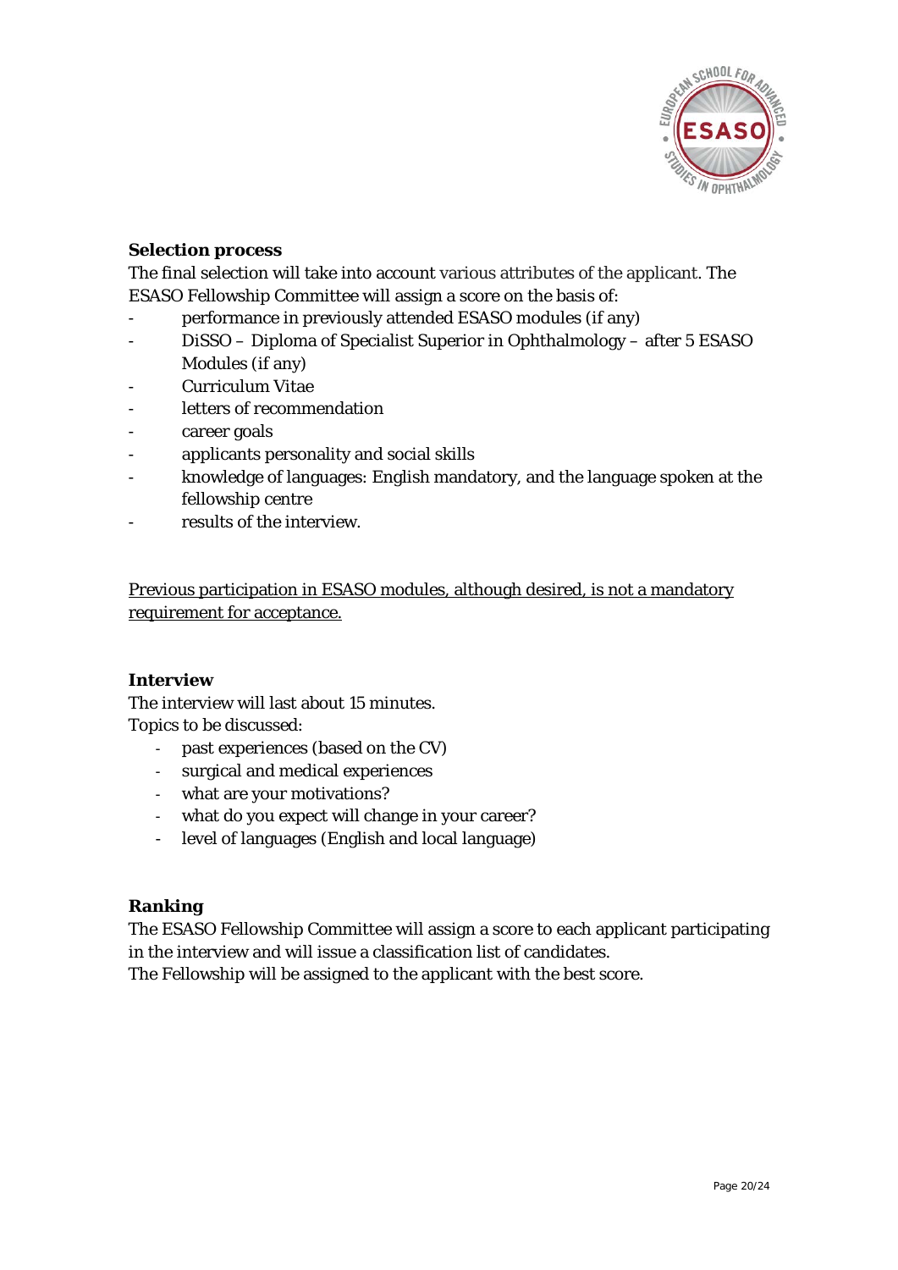

#### **Selection process**

The final selection will take into account various attributes of the applicant. The ESASO Fellowship Committee will assign a score on the basis of:

- performance in previously attended ESASO modules (if any)
- DiSSO Diploma of Specialist Superior in Ophthalmology after 5 ESASO Modules (if any)
- Curriculum Vitae
- letters of recommendation
- career goals
- applicants personality and social skills
- knowledge of languages: English mandatory, and the language spoken at the fellowship centre
- results of the interview.

Previous participation in ESASO modules, although desired, is not a mandatory requirement for acceptance.

#### **Interview**

The interview will last about 15 minutes. Topics to be discussed:

- past experiences (based on the CV)
- surgical and medical experiences
- what are your motivations?
- what do you expect will change in your career?
- level of languages (English and local language)

#### **Ranking**

The ESASO Fellowship Committee will assign a score to each applicant participating in the interview and will issue a classification list of candidates.

The Fellowship will be assigned to the applicant with the best score.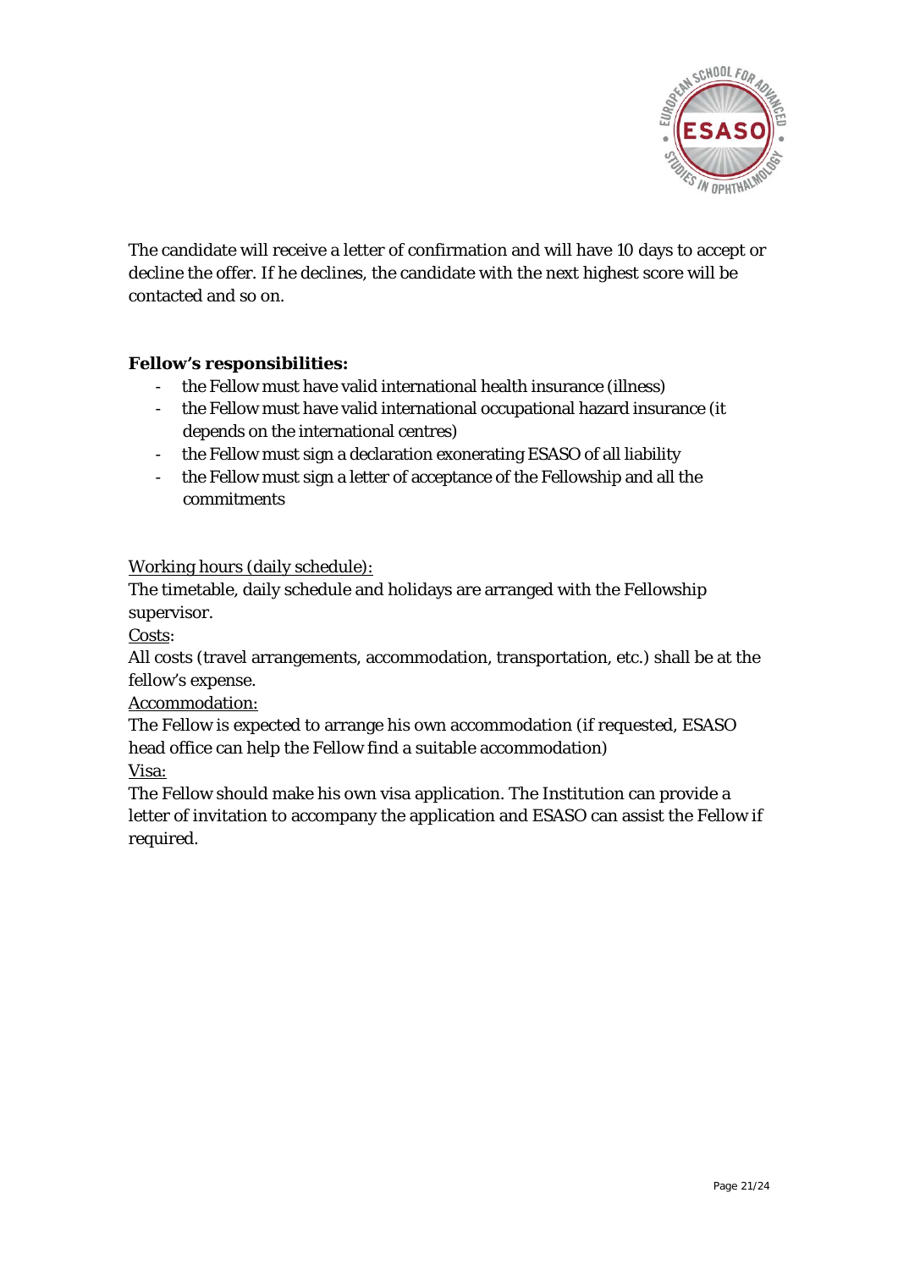

The candidate will receive a letter of confirmation and will have 10 days to accept or decline the offer. If he declines, the candidate with the next highest score will be contacted and so on.

#### **Fellow's responsibilities:**

- the Fellow must have valid international health insurance (illness)
- the Fellow must have valid international occupational hazard insurance (it depends on the international centres)
- the Fellow must sign a declaration exonerating ESASO of all liability
- the Fellow must sign a letter of acceptance of the Fellowship and all the commitments

Working hours (daily schedule):

The timetable, daily schedule and holidays are arranged with the Fellowship supervisor.

Costs:

All costs (travel arrangements, accommodation, transportation, etc.) shall be at the fellow's expense.

Accommodation:

The Fellow is expected to arrange his own accommodation (if requested, ESASO head office can help the Fellow find a suitable accommodation) Visa:

The Fellow should make his own visa application. The Institution can provide a letter of invitation to accompany the application and ESASO can assist the Fellow if required.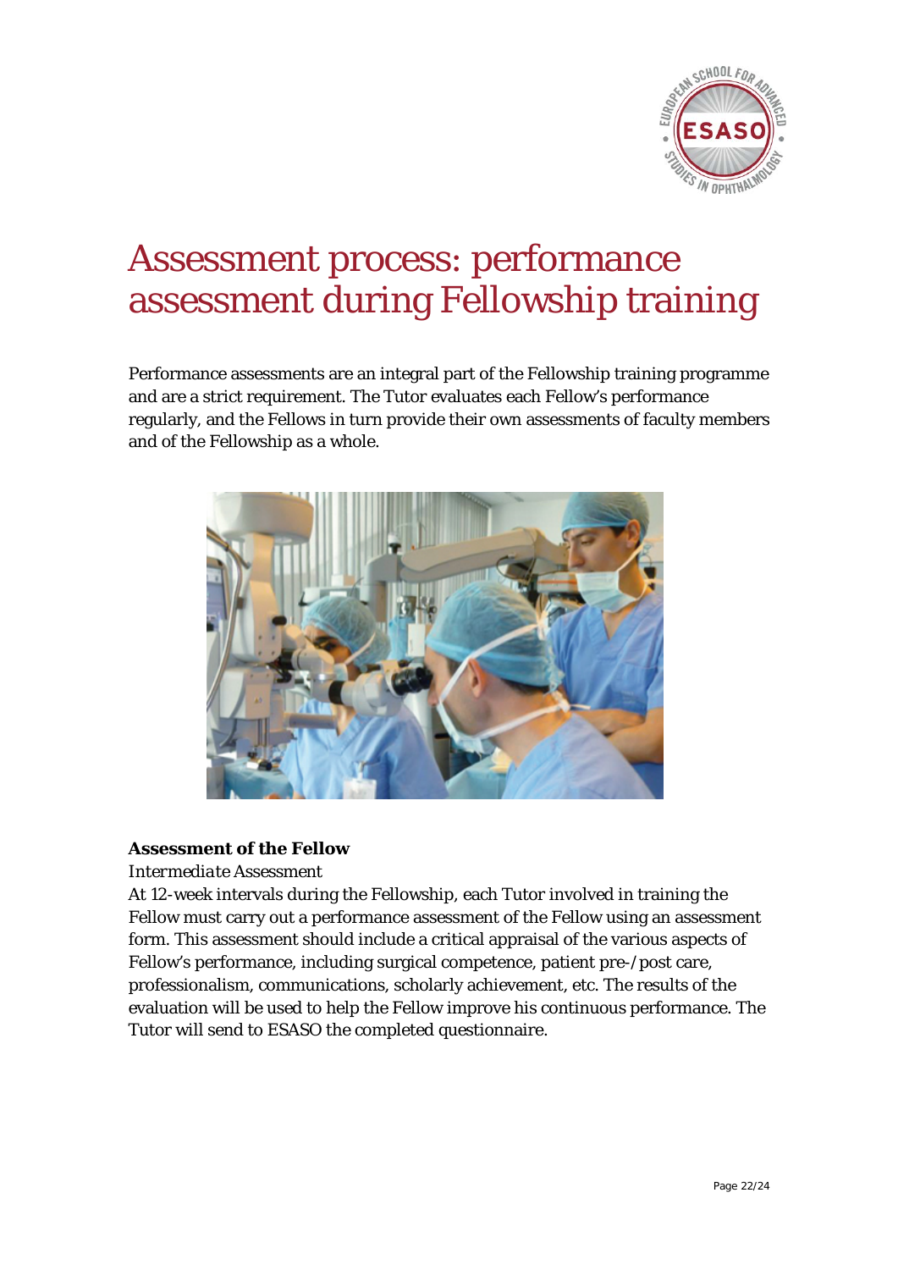

### Assessment process: performance assessment during Fellowship training

Performance assessments are an integral part of the Fellowship training programme and are a strict requirement. The Tutor evaluates each Fellow's performance regularly, and the Fellows in turn provide their own assessments of faculty members and of the Fellowship as a whole.



#### **Assessment of the Fellow**

#### *Intermediate Assessment*

At 12-week intervals during the Fellowship, each Tutor involved in training the Fellow must carry out a performance assessment of the Fellow using an assessment form. This assessment should include a critical appraisal of the various aspects of Fellow's performance, including surgical competence, patient pre-/post care, professionalism, communications, scholarly achievement, etc. The results of the evaluation will be used to help the Fellow improve his continuous performance. The Tutor will send to ESASO the completed questionnaire.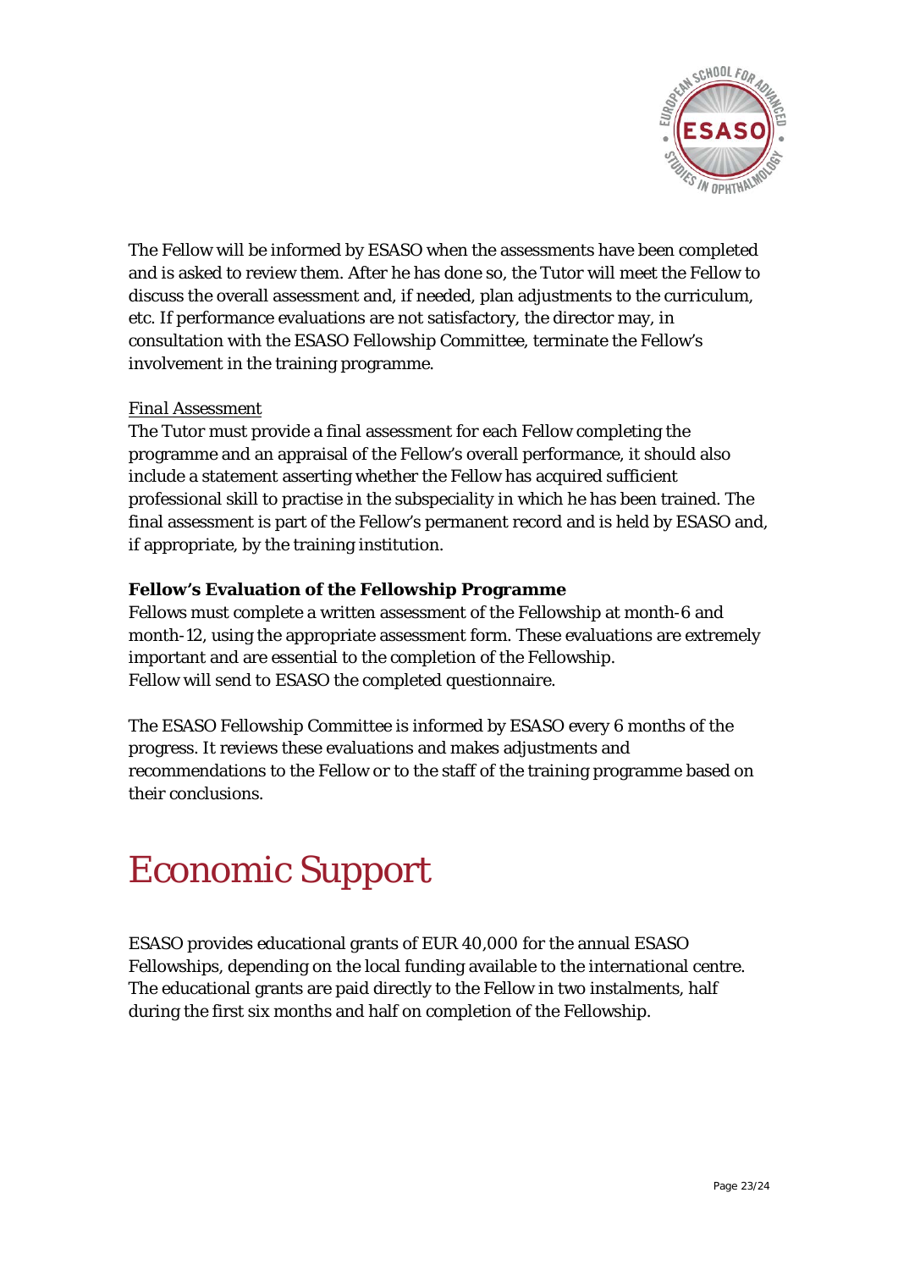

The Fellow will be informed by ESASO when the assessments have been completed and is asked to review them. After he has done so, the Tutor will meet the Fellow to discuss the overall assessment and, if needed, plan adjustments to the curriculum, etc. If performance evaluations are not satisfactory, the director may, in consultation with the ESASO Fellowship Committee, terminate the Fellow's involvement in the training programme.

#### *Final Assessment*

The Tutor must provide a final assessment for each Fellow completing the programme and an appraisal of the Fellow's overall performance, it should also include a statement asserting whether the Fellow has acquired sufficient professional skill to practise in the subspeciality in which he has been trained. The final assessment is part of the Fellow's permanent record and is held by ESASO and, if appropriate, by the training institution.

#### **Fellow's Evaluation of the Fellowship Programme**

Fellows must complete a written assessment of the Fellowship at month-6 and month-12, using the appropriate assessment form. These evaluations are extremely important and are essential to the completion of the Fellowship. Fellow will send to ESASO the completed questionnaire.

The ESASO Fellowship Committee is informed by ESASO every 6 months of the progress. It reviews these evaluations and makes adjustments and recommendations to the Fellow or to the staff of the training programme based on their conclusions.

### Economic Support

ESASO provides educational grants of EUR 40,000 for the annual ESASO Fellowships, depending on the local funding available to the international centre. The educational grants are paid directly to the Fellow in two instalments, half during the first six months and half on completion of the Fellowship.